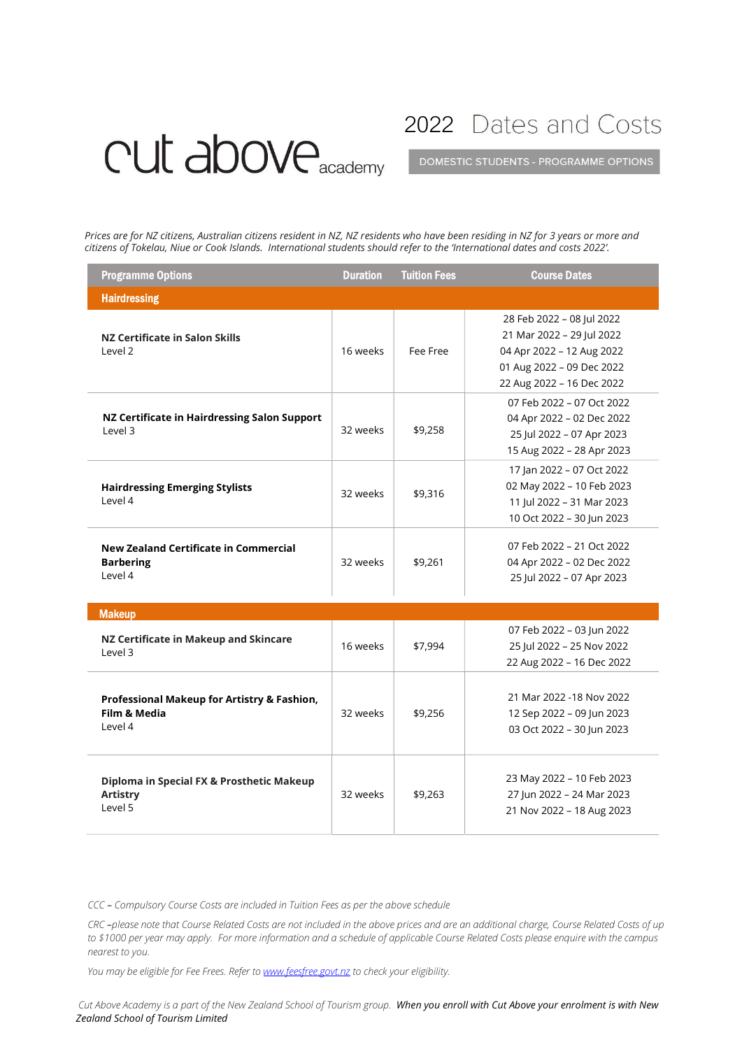## CUI above<sub>academy</sub>

2022 Dates and Costs

DOMESTIC STUDENTS - PROGRAMME OPTIONS

Prices are for NZ citizens, Australian citizens resident in NZ, NZ residents who have been residing in NZ for 3 years or more and citizens of Tokelau, Niue or Cook Islands. International students should refer to the 'International dates and costs 2022'.

| <b>Programme Options</b>                                                    | <b>Duration</b> | <b>Tuition Fees</b> | <b>Course Dates</b>                                                                                                                           |
|-----------------------------------------------------------------------------|-----------------|---------------------|-----------------------------------------------------------------------------------------------------------------------------------------------|
| <b>Hairdressing</b>                                                         |                 |                     |                                                                                                                                               |
| NZ Certificate in Salon Skills<br>level 2                                   | 16 weeks        | Fee Free            | 28 Feb 2022 - 08 Jul 2022<br>21 Mar 2022 - 29 Jul 2022<br>04 Apr 2022 - 12 Aug 2022<br>01 Aug 2022 - 09 Dec 2022<br>22 Aug 2022 - 16 Dec 2022 |
| NZ Certificate in Hairdressing Salon Support<br>Level 3                     | 32 weeks        | \$9,258             | 07 Feb 2022 - 07 Oct 2022<br>04 Apr 2022 - 02 Dec 2022<br>25 Jul 2022 - 07 Apr 2023<br>15 Aug 2022 - 28 Apr 2023                              |
| <b>Hairdressing Emerging Stylists</b><br>Level 4                            | 32 weeks        | \$9,316             | 17 Jan 2022 - 07 Oct 2022<br>02 May 2022 - 10 Feb 2023<br>11 Jul 2022 - 31 Mar 2023<br>10 Oct 2022 - 30 Jun 2023                              |
| <b>New Zealand Certificate in Commercial</b><br><b>Barbering</b><br>Level 4 | 32 weeks        | \$9,261             | 07 Feb 2022 - 21 Oct 2022<br>04 Apr 2022 - 02 Dec 2022<br>25 Jul 2022 - 07 Apr 2023                                                           |
| <b>Makeup</b>                                                               |                 |                     |                                                                                                                                               |
| NZ Certificate in Makeup and Skincare<br>Level 3                            | 16 weeks        | \$7,994             | 07 Feb 2022 - 03 Jun 2022<br>25 Jul 2022 - 25 Nov 2022<br>22 Aug 2022 - 16 Dec 2022                                                           |
| Professional Makeup for Artistry & Fashion,<br>Film & Media<br>Level 4      | 32 weeks        | \$9,256             | 21 Mar 2022 -18 Nov 2022<br>12 Sep 2022 - 09 Jun 2023<br>03 Oct 2022 - 30 Jun 2023                                                            |
| Diploma in Special FX & Prosthetic Makeup<br><b>Artistry</b><br>Level 5     | 32 weeks        | \$9.263             | 23 May 2022 - 10 Feb 2023<br>27 Jun 2022 - 24 Mar 2023<br>21 Nov 2022 - 18 Aug 2023                                                           |

CCC – Compulsory Course Costs are included in Tuition Fees as per the above schedule

CRC –please note that Course Related Costs are not included in the above prices and are an additional charge, Course Related Costs of up to \$1000 per year may apply. For more information and a schedule of applicable Course Related Costs please enquire with the campus nearest to you.

You may be eligible for Fee Frees. Refer to **www.feesfree.govt.nz** to check your eligibility.

Cut Above Academy is a part of the New Zealand School of Tourism group. When you enroll with Cut Above your enrolment is with New Zealand School of Tourism Limited